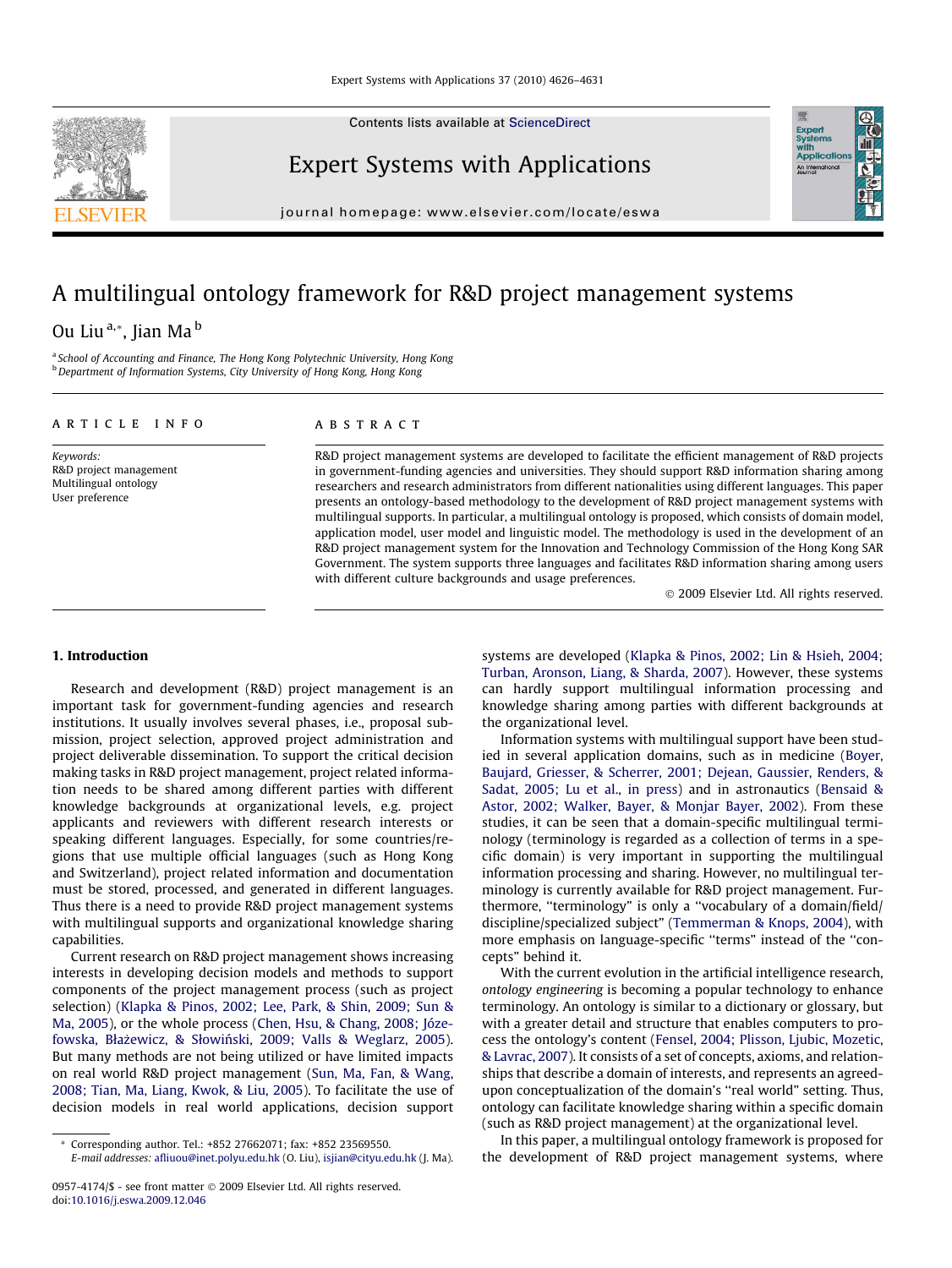Contents lists available at [ScienceDirect](http://www.sciencedirect.com/science/journal/09574174)

### Expert Systems with Applications

journal homepage: [www.elsevier.com/locate/eswa](http://www.elsevier.com/locate/eswa)

## A multilingual ontology framework for R&D project management systems

### Ou Liu<sup>a,\*</sup>, Jian Ma<sup>b</sup>

<sup>a</sup> School of Accounting and Finance, The Hong Kong Polytechnic University, Hong Kong **b** Department of Information Systems, City University of Hong Kong, Hong Kong

| ARTICLE INFO                                                                    | <b>ABSTRACT</b>                                                                                                                                                                                                                                                                                                                                                                                                                                                                                                                                                                                                                                                                                                                                                                                                                                                                                                          |
|---------------------------------------------------------------------------------|--------------------------------------------------------------------------------------------------------------------------------------------------------------------------------------------------------------------------------------------------------------------------------------------------------------------------------------------------------------------------------------------------------------------------------------------------------------------------------------------------------------------------------------------------------------------------------------------------------------------------------------------------------------------------------------------------------------------------------------------------------------------------------------------------------------------------------------------------------------------------------------------------------------------------|
| Keywords:<br>R&D project management<br>Multilingual ontology<br>User preference | R&D project management systems are developed to facilitate the efficient management of R&D projects<br>in government-funding agencies and universities. They should support R&D information sharing among<br>researchers and research administrators from different nationalities using different languages. This paper<br>presents an ontology-based methodology to the development of R&D project management systems with<br>multilingual supports. In particular, a multilingual ontology is proposed, which consists of domain model,<br>application model, user model and linguistic model. The methodology is used in the development of an<br>R&D project management system for the Innovation and Technology Commission of the Hong Kong SAR<br>Government. The system supports three languages and facilitates R&D information sharing among users<br>with different culture backgrounds and usage preferences. |

- 2009 Elsevier Ltd. All rights reserved.

Expert<br>Syster

#### 1. Introduction

Research and development (R&D) project management is an important task for government-funding agencies and research institutions. It usually involves several phases, i.e., proposal submission, project selection, approved project administration and project deliverable dissemination. To support the critical decision making tasks in R&D project management, project related information needs to be shared among different parties with different knowledge backgrounds at organizational levels, e.g. project applicants and reviewers with different research interests or speaking different languages. Especially, for some countries/regions that use multiple official languages (such as Hong Kong and Switzerland), project related information and documentation must be stored, processed, and generated in different languages. Thus there is a need to provide R&D project management systems with multilingual supports and organizational knowledge sharing capabilities.

Current research on R&D project management shows increasing interests in developing decision models and methods to support components of the project management process (such as project selection) ([Klapka & Pinos, 2002; Lee, Park, & Shin, 2009; Sun &](#page--1-0) [Ma, 2005](#page--1-0)), or the whole process [\(Chen, Hsu, & Chang, 2008; Józe](#page--1-0)[fowska, Bła](#page--1-0)żewicz, & Słowiń[ski, 2009; Valls & Weglarz, 2005\)](#page--1-0). But many methods are not being utilized or have limited impacts on real world R&D project management [\(Sun, Ma, Fan, & Wang,](#page--1-0) [2008; Tian, Ma, Liang, Kwok, & Liu, 2005\)](#page--1-0). To facilitate the use of decision models in real world applications, decision support systems are developed ([Klapka & Pinos, 2002; Lin & Hsieh, 2004;](#page--1-0) [Turban, Aronson, Liang, & Sharda, 2007\)](#page--1-0). However, these systems can hardly support multilingual information processing and knowledge sharing among parties with different backgrounds at the organizational level.

Information systems with multilingual support have been studied in several application domains, such as in medicine [\(Boyer,](#page--1-0) [Baujard, Griesser, & Scherrer, 2001; Dejean, Gaussier, Renders, &](#page--1-0) [Sadat, 2005; Lu et al., in press](#page--1-0)) and in astronautics ([Bensaid &](#page--1-0) [Astor, 2002; Walker, Bayer, & Monjar Bayer, 2002](#page--1-0)). From these studies, it can be seen that a domain-specific multilingual terminology (terminology is regarded as a collection of terms in a specific domain) is very important in supporting the multilingual information processing and sharing. However, no multilingual terminology is currently available for R&D project management. Furthermore, "terminology" is only a "vocabulary of a domain/field/ discipline/specialized subject" [\(Temmerman & Knops, 2004\)](#page--1-0), with more emphasis on language-specific ''terms" instead of the ''concepts" behind it.

With the current evolution in the artificial intelligence research, ontology engineering is becoming a popular technology to enhance terminology. An ontology is similar to a dictionary or glossary, but with a greater detail and structure that enables computers to process the ontology's content [\(Fensel, 2004; Plisson, Ljubic, Mozetic,](#page--1-0) [& Lavrac, 2007\)](#page--1-0). It consists of a set of concepts, axioms, and relationships that describe a domain of interests, and represents an agreedupon conceptualization of the domain's ''real world" setting. Thus, ontology can facilitate knowledge sharing within a specific domain (such as R&D project management) at the organizational level.

In this paper, a multilingual ontology framework is proposed for the development of R&D project management systems, where



<sup>\*</sup> Corresponding author. Tel.: +852 27662071; fax: +852 23569550.

E-mail addresses: [afliuou@inet.polyu.edu.hk](mailto:afliuou@inet.polyu.edu.hk) (O. Liu), [isjian@cityu.edu.hk](mailto:isjian@cityu.edu.hk) (J. Ma).

<sup>0957-4174/\$ -</sup> see front matter © 2009 Elsevier Ltd. All rights reserved. doi:[10.1016/j.eswa.2009.12.046](http://dx.doi.org/10.1016/j.eswa.2009.12.046)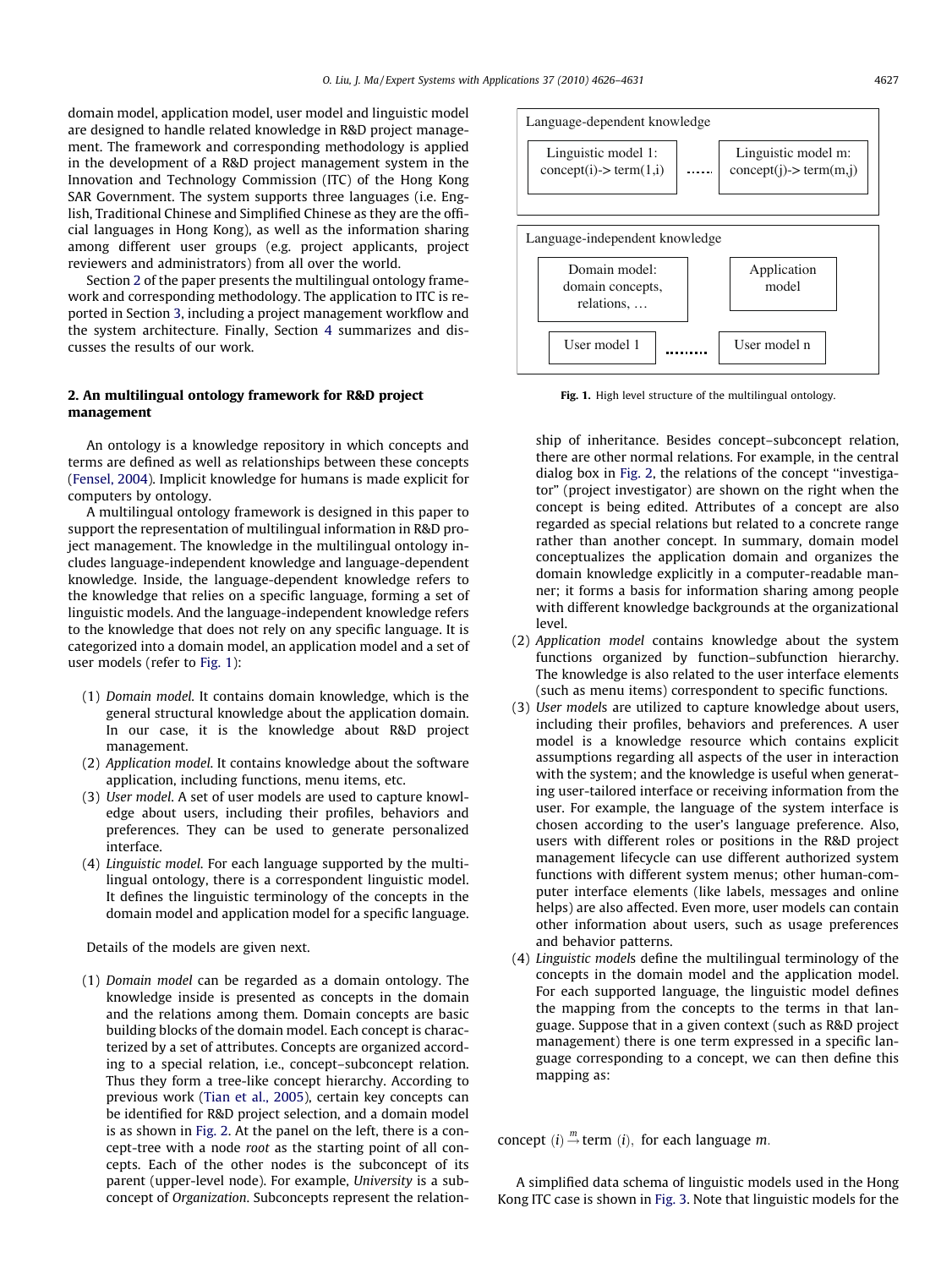domain model, application model, user model and linguistic model are designed to handle related knowledge in R&D project management. The framework and corresponding methodology is applied in the development of a R&D project management system in the Innovation and Technology Commission (ITC) of the Hong Kong SAR Government. The system supports three languages (i.e. English, Traditional Chinese and Simplified Chinese as they are the official languages in Hong Kong), as well as the information sharing among different user groups (e.g. project applicants, project reviewers and administrators) from all over the world.

Section 2 of the paper presents the multilingual ontology framework and corresponding methodology. The application to ITC is reported in Section [3](#page--1-0), including a project management workflow and the system architecture. Finally, Section [4](#page--1-0) summarizes and discusses the results of our work.

#### 2. An multilingual ontology framework for R&D project management

An ontology is a knowledge repository in which concepts and terms are defined as well as relationships between these concepts ([Fensel, 2004](#page--1-0)). Implicit knowledge for humans is made explicit for computers by ontology.

A multilingual ontology framework is designed in this paper to support the representation of multilingual information in R&D project management. The knowledge in the multilingual ontology includes language-independent knowledge and language-dependent knowledge. Inside, the language-dependent knowledge refers to the knowledge that relies on a specific language, forming a set of linguistic models. And the language-independent knowledge refers to the knowledge that does not rely on any specific language. It is categorized into a domain model, an application model and a set of user models (refer to Fig. 1):

- (1) Domain model. It contains domain knowledge, which is the general structural knowledge about the application domain. In our case, it is the knowledge about R&D project management.
- (2) Application model. It contains knowledge about the software application, including functions, menu items, etc.
- (3) User model. A set of user models are used to capture knowledge about users, including their profiles, behaviors and preferences. They can be used to generate personalized interface.
- (4) Linguistic model. For each language supported by the multilingual ontology, there is a correspondent linguistic model. It defines the linguistic terminology of the concepts in the domain model and application model for a specific language.

Details of the models are given next.

(1) Domain model can be regarded as a domain ontology. The knowledge inside is presented as concepts in the domain and the relations among them. Domain concepts are basic building blocks of the domain model. Each concept is characterized by a set of attributes. Concepts are organized according to a special relation, i.e., concept–subconcept relation. Thus they form a tree-like concept hierarchy. According to previous work ([Tian et al., 2005](#page--1-0)), certain key concepts can be identified for R&D project selection, and a domain model is as shown in [Fig. 2.](#page--1-0) At the panel on the left, there is a concept-tree with a node root as the starting point of all concepts. Each of the other nodes is the subconcept of its parent (upper-level node). For example, University is a subconcept of Organization. Subconcepts represent the relation-



Fig. 1. High level structure of the multilingual ontology.

ship of inheritance. Besides concept–subconcept relation, there are other normal relations. For example, in the central dialog box in [Fig. 2,](#page--1-0) the relations of the concept ''investigator" (project investigator) are shown on the right when the concept is being edited. Attributes of a concept are also regarded as special relations but related to a concrete range rather than another concept. In summary, domain model conceptualizes the application domain and organizes the domain knowledge explicitly in a computer-readable manner; it forms a basis for information sharing among people with different knowledge backgrounds at the organizational level.

- (2) Application model contains knowledge about the system functions organized by function–subfunction hierarchy. The knowledge is also related to the user interface elements (such as menu items) correspondent to specific functions.
- (3) User models are utilized to capture knowledge about users, including their profiles, behaviors and preferences. A user model is a knowledge resource which contains explicit assumptions regarding all aspects of the user in interaction with the system; and the knowledge is useful when generating user-tailored interface or receiving information from the user. For example, the language of the system interface is chosen according to the user's language preference. Also, users with different roles or positions in the R&D project management lifecycle can use different authorized system functions with different system menus; other human-computer interface elements (like labels, messages and online helps) are also affected. Even more, user models can contain other information about users, such as usage preferences and behavior patterns.
- (4) Linguistic models define the multilingual terminology of the concepts in the domain model and the application model. For each supported language, the linguistic model defines the mapping from the concepts to the terms in that language. Suppose that in a given context (such as R&D project management) there is one term expressed in a specific language corresponding to a concept, we can then define this mapping as:

concept  $(i) \stackrel{m}{\rightarrow}$  term  $(i)$ , for each language m.

A simplified data schema of linguistic models used in the Hong Kong ITC case is shown in [Fig. 3.](#page--1-0) Note that linguistic models for the